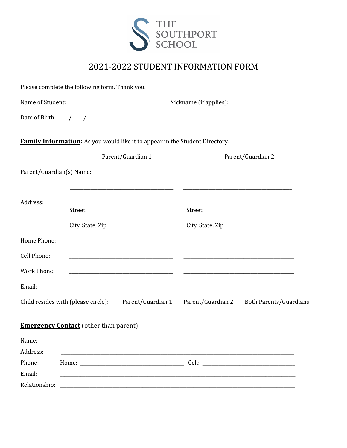

# 2021-2022 STUDENT INFORMATION FORM

|                          | Please complete the following form. Thank you.                                      |                                                                                                                                                                                                                                      |
|--------------------------|-------------------------------------------------------------------------------------|--------------------------------------------------------------------------------------------------------------------------------------------------------------------------------------------------------------------------------------|
|                          |                                                                                     |                                                                                                                                                                                                                                      |
|                          |                                                                                     |                                                                                                                                                                                                                                      |
|                          | <b>Family Information:</b> As you would like it to appear in the Student Directory. |                                                                                                                                                                                                                                      |
|                          | Parent/Guardian 1                                                                   | Parent/Guardian 2                                                                                                                                                                                                                    |
| Parent/Guardian(s) Name: |                                                                                     |                                                                                                                                                                                                                                      |
| Address:                 | <u> 1989 - Johann John Stein, mars an deus Frankrik (f. 1989)</u>                   |                                                                                                                                                                                                                                      |
|                          | Street                                                                              | Street<br><u> 1989 - Johann John Harry Harry Harry Harry Harry Harry Harry Harry Harry Harry Harry Harry Harry Harry Harry H</u>                                                                                                     |
|                          | City, State, Zip                                                                    | City, State, Zip                                                                                                                                                                                                                     |
| Home Phone:              |                                                                                     |                                                                                                                                                                                                                                      |
| Cell Phone:              | <u> 1980 - Jan James James Barnett, fransk politik (d. 1980)</u>                    | <u> 1989 - Johann John Harry Harry Harry Harry Harry Harry Harry Harry Harry Harry Harry Harry Harry Harry Harry H</u>                                                                                                               |
| <b>Work Phone:</b>       |                                                                                     |                                                                                                                                                                                                                                      |
| Email:                   | the control of the control of the control of the control of the control of          | <u> 1980 - Johann Harry Harry Harry Harry Harry Harry Harry Harry Harry Harry Harry Harry Harry Harry Harry Harry Harry Harry Harry Harry Harry Harry Harry Harry Harry Harry Harry Harry Harry Harry Harry Harry Harry Harry Ha</u> |
|                          | Child resides with (please circle): Parent/Guardian 1                               | Parent/Guardian 2<br><b>Both Parents/Guardians</b>                                                                                                                                                                                   |
|                          | <b>Emergency Contact</b> (other than parent)                                        |                                                                                                                                                                                                                                      |
| Name:                    |                                                                                     |                                                                                                                                                                                                                                      |
| Address:                 |                                                                                     |                                                                                                                                                                                                                                      |
| Phone:<br>Email:         |                                                                                     |                                                                                                                                                                                                                                      |
| Relationship:            |                                                                                     |                                                                                                                                                                                                                                      |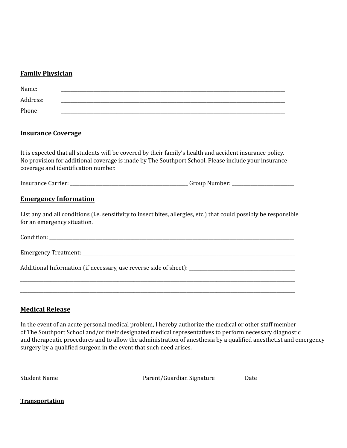#### **Family Physician**

| Name:    |  |
|----------|--|
| Address: |  |
| Phone:   |  |

## **Insurance Coverage**

It is expected that all students will be covered by their family's health and accident insurance policy. No provision for additional coverage is made by The Southport School. Please include your insurance coverage and identification number.

Insurance Carrier: \_\_\_\_\_\_\_\_\_\_\_\_\_\_\_\_\_\_\_\_\_\_\_\_\_\_\_\_\_\_\_\_\_\_\_\_\_\_\_\_\_\_\_\_\_\_\_\_\_\_\_ Group Number: \_\_\_\_\_\_\_\_\_\_\_\_\_\_\_\_\_\_\_\_\_\_\_\_\_\_\_

## **Emergency Information**

List any and all conditions (i.e. sensitivity to insect bites, allergies, etc.) that could possibly be responsible for an emergency situation.

| Condition: |
|------------|
|------------|

| <b>Emergency Treatment:</b> |  |
|-----------------------------|--|
|                             |  |

\_\_\_\_\_\_\_\_\_\_\_\_\_\_\_\_\_\_\_\_\_\_\_\_\_\_\_\_\_\_\_\_\_\_\_\_\_\_\_\_\_\_\_\_\_\_\_\_\_\_\_\_\_\_\_\_\_\_\_\_\_\_\_\_\_\_\_\_\_\_\_\_\_\_\_\_\_\_\_\_\_\_\_\_\_\_\_\_\_\_\_\_\_\_\_\_\_\_\_\_\_\_\_\_\_\_\_\_\_\_\_\_\_\_\_\_\_\_\_ \_\_\_\_\_\_\_\_\_\_\_\_\_\_\_\_\_\_\_\_\_\_\_\_\_\_\_\_\_\_\_\_\_\_\_\_\_\_\_\_\_\_\_\_\_\_\_\_\_\_\_\_\_\_\_\_\_\_\_\_\_\_\_\_\_\_\_\_\_\_\_\_\_\_\_\_\_\_\_\_\_\_\_\_\_\_\_\_\_\_\_\_\_\_\_\_\_\_\_\_\_\_\_\_\_\_\_\_\_\_\_\_\_\_\_\_\_\_\_

\_\_\_\_\_\_\_\_\_\_\_\_\_\_\_\_\_\_\_\_\_\_\_\_\_\_\_\_\_\_\_\_\_\_\_\_\_\_\_\_\_\_\_\_\_\_\_\_\_ \_\_\_\_\_\_\_\_\_\_\_\_\_\_\_\_\_\_\_\_\_\_\_\_\_\_\_\_\_\_\_\_\_\_\_\_\_\_\_\_\_\_ \_\_\_\_\_\_\_\_\_\_\_\_\_\_\_\_\_

Additional Information (if necessary, use reverse side of sheet): \_\_\_\_\_\_\_\_\_\_\_\_\_\_\_\_\_\_\_\_\_\_\_\_\_\_\_\_\_\_\_\_\_\_\_\_\_\_\_\_\_\_\_\_\_\_

#### **Medical Release**

In the event of an acute personal medical problem, I hereby authorize the medical or other staff member of The Southport School and/or their designated medical representatives to perform necessary diagnostic and therapeutic procedures and to allow the administration of anesthesia by a qualified anesthetist and emergency surgery by a qualified surgeon in the event that such need arises.

Student Name **Parent/Guardian Signature** Date

**Transportation**